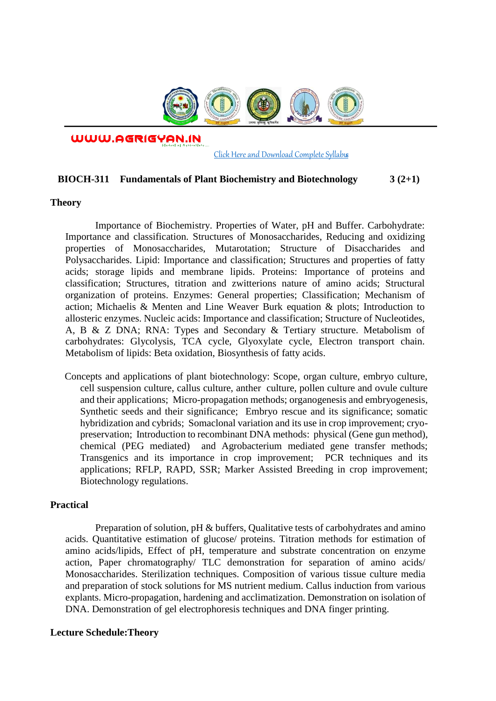

WWW.AGRIGYAN.IN

[Click Here and Download Complete Syllabus](http://agrigyan.in/)

## **BIOCH-311 Fundamentals of Plant Biochemistry and Biotechnology 3 (2+1)**

### **Theory**

 $\overline{a}$ 

Importance of Biochemistry. Properties of Water, pH and Buffer. Carbohydrate: Importance and classification. Structures of Monosaccharides, Reducing and oxidizing properties of Monosaccharides, Mutarotation; Structure of Disaccharides and Polysaccharides. Lipid: Importance and classification; Structures and properties of fatty acids; storage lipids and membrane lipids. Proteins: Importance of proteins and classification; Structures, titration and zwitterions nature of amino acids; Structural organization of proteins. Enzymes: General properties; Classification; Mechanism of action; Michaelis & Menten and Line Weaver Burk equation & plots; Introduction to allosteric enzymes. Nucleic acids: Importance and classification; Structure of Nucleotides, A, B & Z DNA; RNA: Types and Secondary & Tertiary structure. Metabolism of carbohydrates: Glycolysis, TCA cycle, Glyoxylate cycle, Electron transport chain. Metabolism of lipids: Beta oxidation, Biosynthesis of fatty acids.

Concepts and applications of plant biotechnology: Scope, organ culture, embryo culture, cell suspension culture, callus culture, anther culture, pollen culture and ovule culture and their applications; Micro-propagation methods; organogenesis and embryogenesis, Synthetic seeds and their significance; Embryo rescue and its significance; somatic hybridization and cybrids; Somaclonal variation and its use in crop improvement; cryopreservation; Introduction to recombinant DNA methods: physical (Gene gun method), chemical (PEG mediated) and Agrobacterium mediated gene transfer methods; Transgenics and its importance in crop improvement; PCR techniques and its applications; RFLP, RAPD, SSR; Marker Assisted Breeding in crop improvement; Biotechnology regulations.

## **Practical**

Preparation of solution, pH & buffers, Qualitative tests of carbohydrates and amino acids. Quantitative estimation of glucose/ proteins. Titration methods for estimation of amino acids/lipids, Effect of pH, temperature and substrate concentration on enzyme action, Paper chromatography/ TLC demonstration for separation of amino acids/ Monosaccharides. Sterilization techniques. Composition of various tissue culture media and preparation of stock solutions for MS nutrient medium. Callus induction from various explants. Micro-propagation, hardening and acclimatization. Demonstration on isolation of DNA. Demonstration of gel electrophoresis techniques and DNA finger printing.

### **Lecture Schedule:Theory**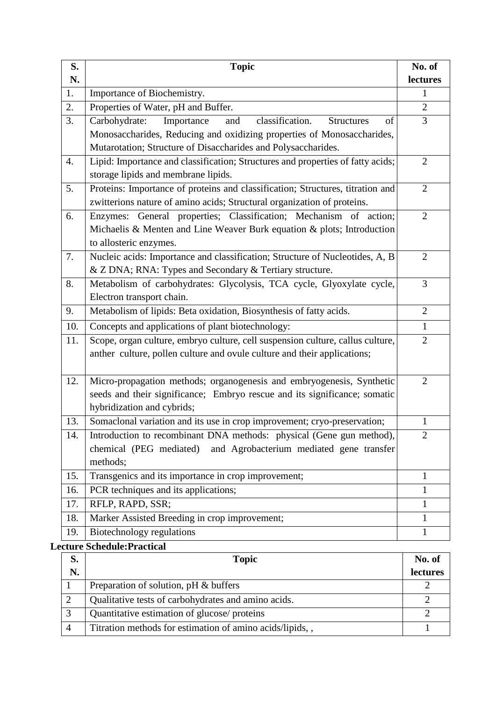| S.  | <b>Topic</b>                                                                                            | No. of         |
|-----|---------------------------------------------------------------------------------------------------------|----------------|
| N.  |                                                                                                         | lectures       |
| 1.  | Importance of Biochemistry.                                                                             | 1              |
| 2.  | Properties of Water, pH and Buffer.                                                                     | $\overline{2}$ |
| 3.  | Carbohydrate:<br>Importance<br>classification.<br>and<br><b>Structures</b><br>of                        | 3              |
|     | Monosaccharides, Reducing and oxidizing properties of Monosaccharides,                                  |                |
|     | Mutarotation; Structure of Disaccharides and Polysaccharides.                                           |                |
| 4.  | Lipid: Importance and classification; Structures and properties of fatty acids;                         | $\overline{2}$ |
|     | storage lipids and membrane lipids.                                                                     |                |
| 5.  | Proteins: Importance of proteins and classification; Structures, titration and                          | $\overline{2}$ |
|     | zwitterions nature of amino acids; Structural organization of proteins.                                 |                |
| 6.  | General properties; Classification; Mechanism of action;<br>Enzymes:                                    | $\overline{2}$ |
|     | Michaelis & Menten and Line Weaver Burk equation & plots; Introduction                                  |                |
|     | to allosteric enzymes.                                                                                  |                |
| 7.  | Nucleic acids: Importance and classification; Structure of Nucleotides, A, B                            | $\overline{2}$ |
|     | & Z DNA; RNA: Types and Secondary & Tertiary structure.                                                 |                |
| 8.  | Metabolism of carbohydrates: Glycolysis, TCA cycle, Glyoxylate cycle,                                   | 3              |
|     | Electron transport chain.                                                                               |                |
| 9.  | Metabolism of lipids: Beta oxidation, Biosynthesis of fatty acids.                                      | $\overline{2}$ |
| 10. | Concepts and applications of plant biotechnology:                                                       | $\mathbf{1}$   |
| 11. | Scope, organ culture, embryo culture, cell suspension culture, callus culture,                          | $\overline{2}$ |
|     | anther culture, pollen culture and ovule culture and their applications;                                |                |
|     |                                                                                                         |                |
| 12. | Micro-propagation methods; organogenesis and embryogenesis, Synthetic                                   | $\overline{2}$ |
|     | seeds and their significance; Embryo rescue and its significance; somatic<br>hybridization and cybrids; |                |
| 13. | Somaclonal variation and its use in crop improvement; cryo-preservation;                                | $\mathbf{1}$   |
| 14. | Introduction to recombinant DNA methods: physical (Gene gun method),                                    | $\overline{2}$ |
|     | and Agrobacterium mediated gene transfer<br>chemical (PEG mediated)                                     |                |
|     | methods;                                                                                                |                |
| 15. | Transgenics and its importance in crop improvement;                                                     | $\mathbf{1}$   |
| 16. | PCR techniques and its applications;                                                                    | $\mathbf{1}$   |
| 17. | RFLP, RAPD, SSR;                                                                                        | 1              |
| 18. | Marker Assisted Breeding in crop improvement;                                                           | 1              |
| 19. | <b>Biotechnology regulations</b>                                                                        | 1              |
|     |                                                                                                         |                |

# **Lecture Schedule:Practical**

| S. | <b>Topic</b>                                             | No. of   |
|----|----------------------------------------------------------|----------|
| N. |                                                          | lectures |
|    | Preparation of solution, pH & buffers                    |          |
|    | Qualitative tests of carbohydrates and amino acids.      |          |
|    | Quantitative estimation of glucose/ proteins             |          |
|    | Titration methods for estimation of amino acids/lipids,, |          |